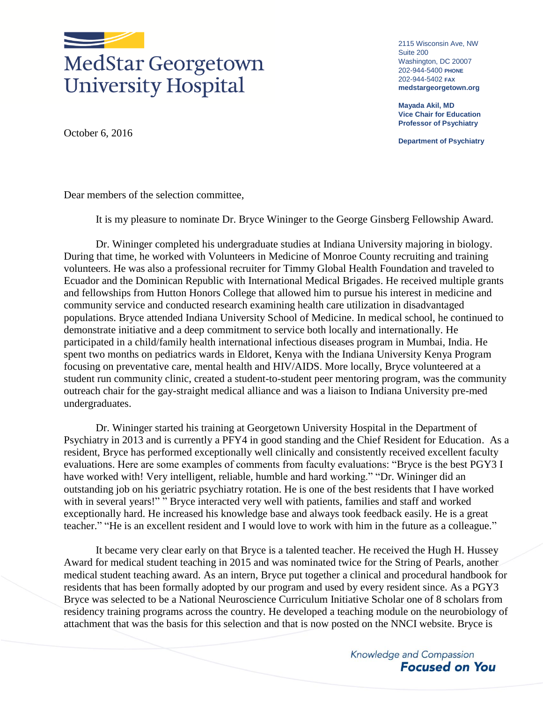

## MedStar Georgetown **University Hospital**

2115 Wisconsin Ave, NW Suite 200 Washington, DC 20007 202-944-5400 **PHONE** 202-944-5402 **FAX medstargeorgetown.org**

**Mayada Akil, MD Vice Chair for Education Professor of Psychiatry**

**Department of Psychiatry**

October 6, 2016

Dear members of the selection committee,

It is my pleasure to nominate Dr. Bryce Wininger to the George Ginsberg Fellowship Award.

Dr. Wininger completed his undergraduate studies at Indiana University majoring in biology. During that time, he worked with Volunteers in Medicine of Monroe County recruiting and training volunteers. He was also a professional recruiter for Timmy Global Health Foundation and traveled to Ecuador and the Dominican Republic with International Medical Brigades. He received multiple grants and fellowships from Hutton Honors College that allowed him to pursue his interest in medicine and community service and conducted research examining health care utilization in disadvantaged populations. Bryce attended Indiana University School of Medicine. In medical school, he continued to demonstrate initiative and a deep commitment to service both locally and internationally. He participated in a child/family health international infectious diseases program in Mumbai, India. He spent two months on pediatrics wards in Eldoret, Kenya with the Indiana University Kenya Program focusing on preventative care, mental health and HIV/AIDS. More locally, Bryce volunteered at a student run community clinic, created a student-to-student peer mentoring program, was the community outreach chair for the gay-straight medical alliance and was a liaison to Indiana University pre-med undergraduates.

Dr. Wininger started his training at Georgetown University Hospital in the Department of Psychiatry in 2013 and is currently a PFY4 in good standing and the Chief Resident for Education. As a resident, Bryce has performed exceptionally well clinically and consistently received excellent faculty evaluations. Here are some examples of comments from faculty evaluations: "Bryce is the best PGY3 I have worked with! Very intelligent, reliable, humble and hard working." "Dr. Wininger did an outstanding job on his geriatric psychiatry rotation. He is one of the best residents that I have worked with in several years!" " Bryce interacted very well with patients, families and staff and worked exceptionally hard. He increased his knowledge base and always took feedback easily. He is a great teacher." "He is an excellent resident and I would love to work with him in the future as a colleague."

It became very clear early on that Bryce is a talented teacher. He received the Hugh H. Hussey Award for medical student teaching in 2015 and was nominated twice for the String of Pearls, another medical student teaching award. As an intern, Bryce put together a clinical and procedural handbook for residents that has been formally adopted by our program and used by every resident since. As a PGY3 Bryce was selected to be a National Neuroscience Curriculum Initiative Scholar one of 8 scholars from residency training programs across the country. He developed a teaching module on the neurobiology of attachment that was the basis for this selection and that is now posted on the NNCI website. Bryce is

> Knowledge and Compassion **Focused on You**